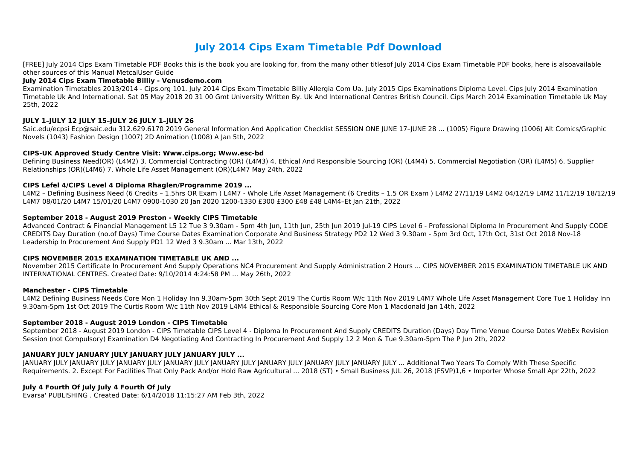# **July 2014 Cips Exam Timetable Pdf Download**

[FREE] July 2014 Cips Exam Timetable PDF Books this is the book you are looking for, from the many other titlesof July 2014 Cips Exam Timetable PDF books, here is alsoavailable other sources of this Manual MetcalUser Guide

#### **July 2014 Cips Exam Timetable Billiy - Venusdemo.com**

Examination Timetables 2013/2014 - Cips.org 101. July 2014 Cips Exam Timetable Billiy Allergia Com Ua. July 2015 Cips Examinations Diploma Level. Cips July 2014 Examination Timetable Uk And International. Sat 05 May 2018 20 31 00 Gmt University Written By. Uk And International Centres British Council. Cips March 2014 Examination Timetable Uk May 25th, 2022

# **JULY 1–JULY 12 JULY 15–JULY 26 JULY 1–JULY 26**

Saic.edu/ecpsi Ecp@saic.edu 312.629.6170 2019 General Information And Application Checklist SESSION ONE JUNE 17–JUNE 28 ... (1005) Figure Drawing (1006) Alt Comics/Graphic Novels (1043) Fashion Design (1007) 2D Animation (1008) A Jan 5th, 2022

# **CIPS-UK Approved Study Centre Visit: Www.cips.org; Www.esc-bd**

Defining Business Need(OR) (L4M2) 3. Commercial Contracting (OR) (L4M3) 4. Ethical And Responsible Sourcing (OR) (L4M4) 5. Commercial Negotiation (OR) (L4M5) 6. Supplier Relationships (OR)(L4M6) 7. Whole Life Asset Management (OR)(L4M7 May 24th, 2022

# **CIPS Lefel 4/CIPS Level 4 Diploma Rhaglen/Programme 2019 ...**

L4M2 – Defining Business Need (6 Credits – 1.5hrs OR Exam ) L4M7 - Whole Life Asset Management (6 Credits – 1.5 OR Exam ) L4M2 27/11/19 L4M2 04/12/19 L4M2 11/12/19 18/12/19 L4M7 08/01/20 L4M7 15/01/20 L4M7 0900-1030 20 Jan 2020 1200-1330 £300 £300 £48 £48 L4M4–Et Jan 21th, 2022

JANUARY JULY JANUARY JULY JANUARY JULY JANUARY JULY JANUARY JULY JANUARY JULY JANUARY JULY JANUARY JULY ... Additional Two Years To Comply With These Specific Requirements. 2. Except For Facilities That Only Pack And/or Hold Raw Agricultural ... 2018 (ST) • Small Business IUL 26, 2018 (FSVP)1,6 • Importer Whose Small Apr 22th, 2022

# **September 2018 - August 2019 Preston - Weekly CIPS Timetable**

Advanced Contract & Financial Management L5 12 Tue 3 9.30am - 5pm 4th Jun, 11th Jun, 25th Jun 2019 Jul-19 CIPS Level 6 - Professional Diploma In Procurement And Supply CODE CREDITS Day Duration (no.of Days) Time Course Dates Examination Corporate And Business Strategy PD2 12 Wed 3 9.30am - 5pm 3rd Oct, 17th Oct, 31st Oct 2018 Nov-18 Leadership In Procurement And Supply PD1 12 Wed 3 9.30am ... Mar 13th, 2022

#### **CIPS NOVEMBER 2015 EXAMINATION TIMETABLE UK AND ...**

November 2015 Certificate In Procurement And Supply Operations NC4 Procurement And Supply Administration 2 Hours ... CIPS NOVEMBER 2015 EXAMINATION TIMETABLE UK AND INTERNATIONAL CENTRES. Created Date: 9/10/2014 4:24:58 PM ... May 26th, 2022

#### **Manchester - CIPS Timetable**

L4M2 Defining Business Needs Core Mon 1 Holiday Inn 9.30am-5pm 30th Sept 2019 The Curtis Room W/c 11th Nov 2019 L4M7 Whole Life Asset Management Core Tue 1 Holiday Inn 9.30am-5pm 1st Oct 2019 The Curtis Room W/c 11th Nov 2019 L4M4 Ethical & Responsible Sourcing Core Mon 1 Macdonald Jan 14th, 2022

#### **September 2018 - August 2019 London - CIPS Timetable**

September 2018 - August 2019 London - CIPS Timetable CIPS Level 4 - Diploma In Procurement And Supply CREDITS Duration (Days) Day Time Venue Course Dates WebEx Revision Session (not Compulsory) Examination D4 Negotiating And Contracting In Procurement And Supply 12 2 Mon & Tue 9.30am-5pm The P Jun 2th, 2022

# **JANUARY JULY JANUARY JULY JANUARY JULY JANUARY JULY ...**

#### **July 4 Fourth Of July July 4 Fourth Of July**

Evarsa' PUBLISHING . Created Date: 6/14/2018 11:15:27 AM Feb 3th, 2022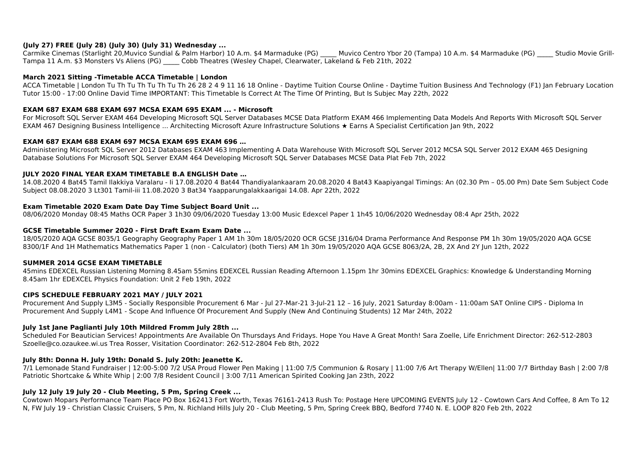# **(July 27) FREE (July 28) (July 30) (July 31) Wednesday ...**

Carmike Cinemas (Starlight 20, Muvico Sundial & Palm Harbor) 10 A.m. \$4 Marmaduke (PG) Muvico Centro Ybor 20 (Tampa) 10 A.m. \$4 Marmaduke (PG) Studio Movie Grill-Tampa 11 A.m. \$3 Monsters Vs Aliens (PG) \_\_\_\_\_ Cobb Theatres (Wesley Chapel, Clearwater, Lakeland & Feb 21th, 2022

# **March 2021 Sitting -Timetable ACCA Timetable | London**

ACCA Timetable | London Tu Th Tu Th Tu Th Tu Th 26 28 2 4 9 11 16 18 Online - Daytime Tuition Course Online - Daytime Tuition Business And Technology (F1) Jan February Location Tutor 15:00 - 17:00 Online David Time IMPORTANT: This Timetable Is Correct At The Time Of Printing, But Is Subjec May 22th, 2022

# **EXAM 687 EXAM 688 EXAM 697 MCSA EXAM 695 EXAM ... - Microsoft**

For Microsoft SQL Server EXAM 464 Developing Microsoft SQL Server Databases MCSE Data Platform EXAM 466 Implementing Data Models And Reports With Microsoft SQL Server EXAM 467 Designing Business Intelligence ... Architecting Microsoft Azure Infrastructure Solutions ★ Earns A Specialist Certification Jan 9th, 2022

# **EXAM 687 EXAM 688 EXAM 697 MCSA EXAM 695 EXAM 696 …**

Administering Microsoft SQL Server 2012 Databases EXAM 463 Implementing A Data Warehouse With Microsoft SQL Server 2012 MCSA SQL Server 2012 EXAM 465 Designing Database Solutions For Microsoft SQL Server EXAM 464 Developing Microsoft SQL Server Databases MCSE Data Plat Feb 7th, 2022

# **JULY 2020 FINAL YEAR EXAM TIMETABLE B.A ENGLISH Date …**

14.08.2020 4 Bat45 Tamil Ilakkiya Varalaru - Ii 17.08.2020 4 Bat44 Thandiyalankaaram 20.08.2020 4 Bat43 Kaapiyangal Timings: An (02.30 Pm – 05.00 Pm) Date Sem Subject Code Subject 08.08.2020 3 Lt301 Tamil-iii 11.08.2020 3 Bat34 Yaapparungalakkaarigai 14.08. Apr 22th, 2022

#### **Exam Timetable 2020 Exam Date Day Time Subject Board Unit ...**

08/06/2020 Monday 08:45 Maths OCR Paper 3 1h30 09/06/2020 Tuesday 13:00 Music Edexcel Paper 1 1h45 10/06/2020 Wednesday 08:4 Apr 25th, 2022

#### **GCSE Timetable Summer 2020 - First Draft Exam Exam Date ...**

18/05/2020 AQA GCSE 8035/1 Geography Geography Paper 1 AM 1h 30m 18/05/2020 OCR GCSE J316/04 Drama Performance And Response PM 1h 30m 19/05/2020 AQA GCSE 8300/1F And 1H Mathematics Mathematics Paper 1 (non - Calculator) (both Tiers) AM 1h 30m 19/05/2020 AQA GCSE 8063/2A, 2B, 2X And 2Y Jun 12th, 2022

#### **SUMMER 2014 GCSE EXAM TIMETABLE**

45mins EDEXCEL Russian Listening Morning 8.45am 55mins EDEXCEL Russian Reading Afternoon 1.15pm 1hr 30mins EDEXCEL Graphics: Knowledge & Understanding Morning 8.45am 1hr EDEXCEL Physics Foundation: Unit 2 Feb 19th, 2022

#### **CIPS SCHEDULE FEBRUARY 2021 MAY / JULY 2021**

Procurement And Supply L3M5 - Socially Responsible Procurement 6 Mar - Jul 27-Mar-21 3-Jul-21 12 – 16 July, 2021 Saturday 8:00am - 11:00am SAT Online CIPS - Diploma In Procurement And Supply L4M1 - Scope And Influence Of Procurement And Supply (New And Continuing Students) 12 Mar 24th, 2022

# **July 1st Jane Paglianti July 10th Mildred Fromm July 28th ...**

Scheduled For Beautician Services! Appointments Are Available On Thursdays And Fridays. Hope You Have A Great Month! Sara Zoelle, Life Enrichment Director: 262-512-2803 Szoelle@co.ozaukee.wi.us Trea Rosser, Visitation Coordinator: 262-512-2804 Feb 8th, 2022

# **July 8th: Donna H. July 19th: Donald S. July 20th: Jeanette K.**

7/1 Lemonade Stand Fundraiser | 12:00-5:00 7/2 USA Proud Flower Pen Making | 11:00 7/5 Communion & Rosary | 11:00 7/6 Art Therapy W/Ellen| 11:00 7/7 Birthday Bash | 2:00 7/8 Patriotic Shortcake & White Whip | 2:00 7/8 Resident Council | 3:00 7/11 American Spirited Cooking Jan 23th, 2022

# **July 12 July 19 July 20 - Club Meeting, 5 Pm, Spring Creek ...**

Cowtown Mopars Performance Team Place PO Box 162413 Fort Worth, Texas 76161-2413 Rush To: Postage Here UPCOMING EVENTS July 12 - Cowtown Cars And Coffee, 8 Am To 12 N, FW July 19 - Christian Classic Cruisers, 5 Pm, N. Richland Hills July 20 - Club Meeting, 5 Pm, Spring Creek BBQ, Bedford 7740 N. E. LOOP 820 Feb 2th, 2022